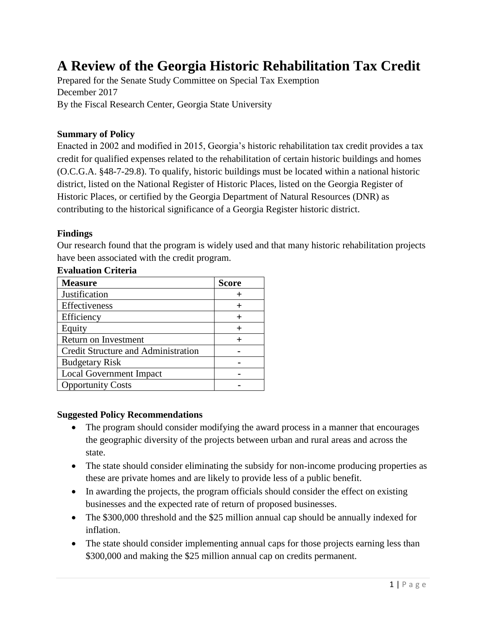# **A Review of the Georgia Historic Rehabilitation Tax Credit**

Prepared for the Senate Study Committee on Special Tax Exemption December 2017 By the Fiscal Research Center, Georgia State University

## **Summary of Policy**

Enacted in 2002 and modified in 2015, Georgia's historic rehabilitation tax credit provides a tax credit for qualified expenses related to the rehabilitation of certain historic buildings and homes (O.C.G.A. §48-7-29.8). To qualify, historic buildings must be located within a national historic district, listed on the National Register of Historic Places, listed on the Georgia Register of Historic Places, or certified by the Georgia Department of Natural Resources (DNR) as contributing to the historical significance of a Georgia Register historic district.

#### **Findings**

Our research found that the program is widely used and that many historic rehabilitation projects have been associated with the credit program.

| <b>Measure</b>                      | <b>Score</b> |
|-------------------------------------|--------------|
| <b>Justification</b>                |              |
| Effectiveness                       |              |
| Efficiency                          |              |
| Equity                              |              |
| Return on Investment                |              |
| Credit Structure and Administration |              |
| <b>Budgetary Risk</b>               |              |
| <b>Local Government Impact</b>      |              |
| <b>Opportunity Costs</b>            |              |

#### **Evaluation Criteria**

#### **Suggested Policy Recommendations**

- The program should consider modifying the award process in a manner that encourages the geographic diversity of the projects between urban and rural areas and across the state.
- The state should consider eliminating the subsidy for non-income producing properties as these are private homes and are likely to provide less of a public benefit.
- In awarding the projects, the program officials should consider the effect on existing businesses and the expected rate of return of proposed businesses.
- The \$300,000 threshold and the \$25 million annual cap should be annually indexed for inflation.
- The state should consider implementing annual caps for those projects earning less than \$300,000 and making the \$25 million annual cap on credits permanent.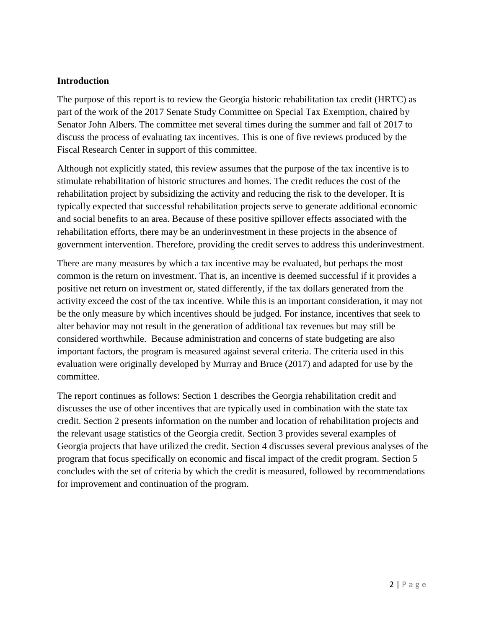## **Introduction**

The purpose of this report is to review the Georgia historic rehabilitation tax credit (HRTC) as part of the work of the 2017 Senate Study Committee on Special Tax Exemption, chaired by Senator John Albers. The committee met several times during the summer and fall of 2017 to discuss the process of evaluating tax incentives. This is one of five reviews produced by the Fiscal Research Center in support of this committee.

Although not explicitly stated, this review assumes that the purpose of the tax incentive is to stimulate rehabilitation of historic structures and homes. The credit reduces the cost of the rehabilitation project by subsidizing the activity and reducing the risk to the developer. It is typically expected that successful rehabilitation projects serve to generate additional economic and social benefits to an area. Because of these positive spillover effects associated with the rehabilitation efforts, there may be an underinvestment in these projects in the absence of government intervention. Therefore, providing the credit serves to address this underinvestment.

There are many measures by which a tax incentive may be evaluated, but perhaps the most common is the return on investment. That is, an incentive is deemed successful if it provides a positive net return on investment or, stated differently, if the tax dollars generated from the activity exceed the cost of the tax incentive. While this is an important consideration, it may not be the only measure by which incentives should be judged. For instance, incentives that seek to alter behavior may not result in the generation of additional tax revenues but may still be considered worthwhile. Because administration and concerns of state budgeting are also important factors, the program is measured against several criteria. The criteria used in this evaluation were originally developed by Murray and Bruce (2017) and adapted for use by the committee.

The report continues as follows: Section 1 describes the Georgia rehabilitation credit and discusses the use of other incentives that are typically used in combination with the state tax credit. Section 2 presents information on the number and location of rehabilitation projects and the relevant usage statistics of the Georgia credit. Section 3 provides several examples of Georgia projects that have utilized the credit. Section 4 discusses several previous analyses of the program that focus specifically on economic and fiscal impact of the credit program. Section 5 concludes with the set of criteria by which the credit is measured, followed by recommendations for improvement and continuation of the program.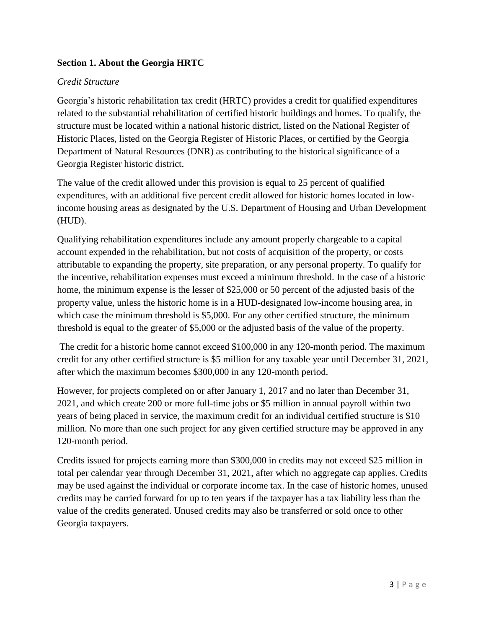# **Section 1. About the Georgia HRTC**

## *Credit Structure*

Georgia's historic rehabilitation tax credit (HRTC) provides a credit for qualified expenditures related to the substantial rehabilitation of certified historic buildings and homes. To qualify, the structure must be located within a national historic district, listed on the National Register of Historic Places, listed on the Georgia Register of Historic Places, or certified by the Georgia Department of Natural Resources (DNR) as contributing to the historical significance of a Georgia Register historic district.

The value of the credit allowed under this provision is equal to 25 percent of qualified expenditures, with an additional five percent credit allowed for historic homes located in lowincome housing areas as designated by the U.S. Department of Housing and Urban Development (HUD).

Qualifying rehabilitation expenditures include any amount properly chargeable to a capital account expended in the rehabilitation, but not costs of acquisition of the property, or costs attributable to expanding the property, site preparation, or any personal property. To qualify for the incentive, rehabilitation expenses must exceed a minimum threshold. In the case of a historic home, the minimum expense is the lesser of \$25,000 or 50 percent of the adjusted basis of the property value, unless the historic home is in a HUD-designated low-income housing area, in which case the minimum threshold is \$5,000. For any other certified structure, the minimum threshold is equal to the greater of \$5,000 or the adjusted basis of the value of the property.

The credit for a historic home cannot exceed \$100,000 in any 120-month period. The maximum credit for any other certified structure is \$5 million for any taxable year until December 31, 2021, after which the maximum becomes \$300,000 in any 120-month period.

However, for projects completed on or after January 1, 2017 and no later than December 31, 2021, and which create 200 or more full-time jobs or \$5 million in annual payroll within two years of being placed in service, the maximum credit for an individual certified structure is \$10 million. No more than one such project for any given certified structure may be approved in any 120-month period.

Credits issued for projects earning more than \$300,000 in credits may not exceed \$25 million in total per calendar year through December 31, 2021, after which no aggregate cap applies. Credits may be used against the individual or corporate income tax. In the case of historic homes, unused credits may be carried forward for up to ten years if the taxpayer has a tax liability less than the value of the credits generated. Unused credits may also be transferred or sold once to other Georgia taxpayers.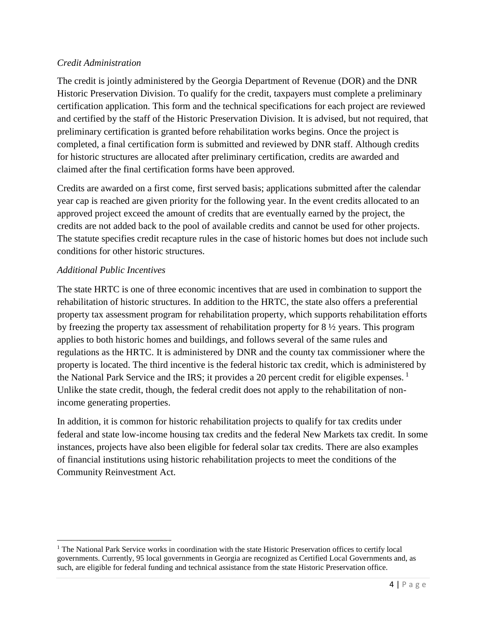## *Credit Administration*

The credit is jointly administered by the Georgia Department of Revenue (DOR) and the DNR Historic Preservation Division. To qualify for the credit, taxpayers must complete a preliminary certification application. This form and the technical specifications for each project are reviewed and certified by the staff of the Historic Preservation Division. It is advised, but not required, that preliminary certification is granted before rehabilitation works begins. Once the project is completed, a final certification form is submitted and reviewed by DNR staff. Although credits for historic structures are allocated after preliminary certification, credits are awarded and claimed after the final certification forms have been approved.

Credits are awarded on a first come, first served basis; applications submitted after the calendar year cap is reached are given priority for the following year. In the event credits allocated to an approved project exceed the amount of credits that are eventually earned by the project, the credits are not added back to the pool of available credits and cannot be used for other projects. The statute specifies credit recapture rules in the case of historic homes but does not include such conditions for other historic structures.

# *Additional Public Incentives*

 $\overline{\phantom{a}}$ 

The state HRTC is one of three economic incentives that are used in combination to support the rehabilitation of historic structures. In addition to the HRTC, the state also offers a preferential property tax assessment program for rehabilitation property, which supports rehabilitation efforts by freezing the property tax assessment of rehabilitation property for 8 ½ years. This program applies to both historic homes and buildings, and follows several of the same rules and regulations as the HRTC. It is administered by DNR and the county tax commissioner where the property is located. The third incentive is the federal historic tax credit, which is administered by the National Park Service and the IRS; it provides a 20 percent credit for eligible expenses.  $<sup>1</sup>$ </sup> Unlike the state credit, though, the federal credit does not apply to the rehabilitation of nonincome generating properties.

In addition, it is common for historic rehabilitation projects to qualify for tax credits under federal and state low-income housing tax credits and the federal New Markets tax credit. In some instances, projects have also been eligible for federal solar tax credits. There are also examples of financial institutions using historic rehabilitation projects to meet the conditions of the Community Reinvestment Act.

<sup>&</sup>lt;sup>1</sup> The National Park Service works in coordination with the state Historic Preservation offices to certify local governments. Currently, 95 local governments in Georgia are recognized as Certified Local Governments and, as such, are eligible for federal funding and technical assistance from the state Historic Preservation office.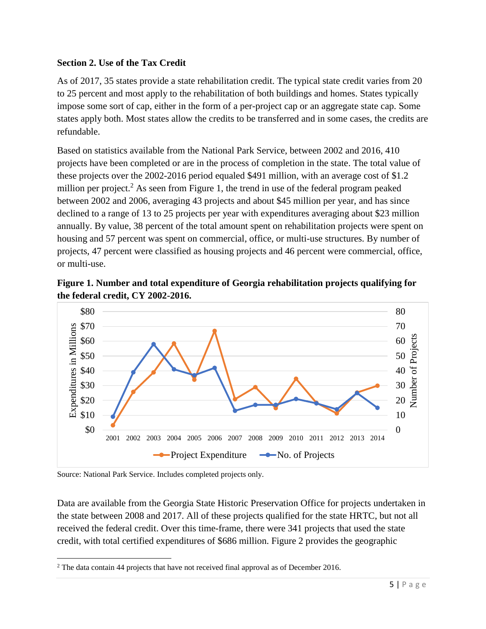# **Section 2. Use of the Tax Credit**

As of 2017, 35 states provide a state rehabilitation credit. The typical state credit varies from 20 to 25 percent and most apply to the rehabilitation of both buildings and homes. States typically impose some sort of cap, either in the form of a per-project cap or an aggregate state cap. Some states apply both. Most states allow the credits to be transferred and in some cases, the credits are refundable.

Based on statistics available from the National Park Service, between 2002 and 2016, 410 projects have been completed or are in the process of completion in the state. The total value of these projects over the 2002-2016 period equaled \$491 million, with an average cost of \$1.2 million per project.<sup>2</sup> As seen from Figure 1, the trend in use of the federal program peaked between 2002 and 2006, averaging 43 projects and about \$45 million per year, and has since declined to a range of 13 to 25 projects per year with expenditures averaging about \$23 million annually. By value, 38 percent of the total amount spent on rehabilitation projects were spent on housing and 57 percent was spent on commercial, office, or multi-use structures. By number of projects, 47 percent were classified as housing projects and 46 percent were commercial, office, or multi-use.

**Figure 1. Number and total expenditure of Georgia rehabilitation projects qualifying for the federal credit, CY 2002-2016.** 



Source: National Park Service. Includes completed projects only.

Data are available from the Georgia State Historic Preservation Office for projects undertaken in the state between 2008 and 2017. All of these projects qualified for the state HRTC, but not all received the federal credit. Over this time-frame, there were 341 projects that used the state credit, with total certified expenditures of \$686 million. Figure 2 provides the geographic

 $\overline{\phantom{a}}$ <sup>2</sup> The data contain 44 projects that have not received final approval as of December 2016.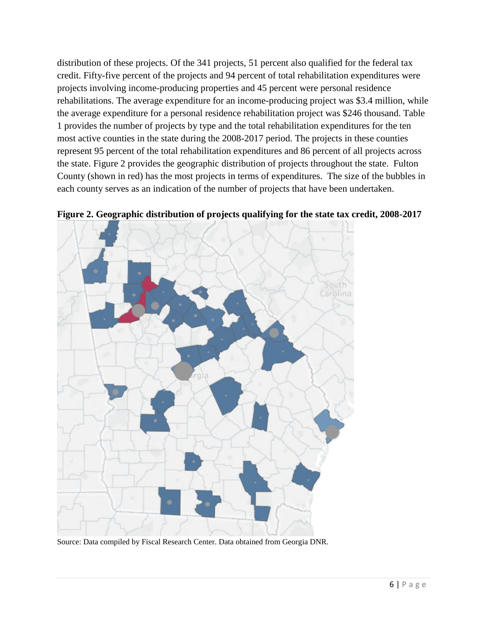distribution of these projects. Of the 341 projects, 51 percent also qualified for the federal tax credit. Fifty-five percent of the projects and 94 percent of total rehabilitation expenditures were projects involving income-producing properties and 45 percent were personal residence rehabilitations. The average expenditure for an income-producing project was \$3.4 million, while the average expenditure for a personal residence rehabilitation project was \$246 thousand. Table 1 provides the number of projects by type and the total rehabilitation expenditures for the ten most active counties in the state during the 2008-2017 period. The projects in these counties represent 95 percent of the total rehabilitation expenditures and 86 percent of all projects across the state. Figure 2 provides the geographic distribution of projects throughout the state. Fulton County (shown in red) has the most projects in terms of expenditures. The size of the bubbles in each county serves as an indication of the number of projects that have been undertaken.



**Figure 2. Geographic distribution of projects qualifying for the state tax credit, 2008-2017**

Source: Data compiled by Fiscal Research Center. Data obtained from Georgia DNR.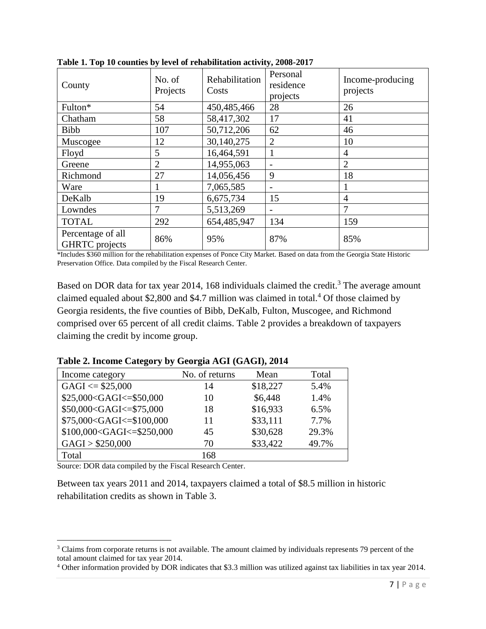| County                                     | No. of<br>Projects | Rehabilitation<br>Costs | Personal<br>residence<br>projects | Income-producing<br>projects |
|--------------------------------------------|--------------------|-------------------------|-----------------------------------|------------------------------|
| Fulton*                                    | 54                 | 450,485,466             | 28                                | 26                           |
| Chatham                                    | 58                 | 58,417,302              | 17                                | 41                           |
| Bibb                                       | 107                | 50,712,206              | 62                                | 46                           |
| Muscogee                                   | 12                 | 30,140,275              | $\overline{2}$                    | 10                           |
| Floyd                                      | 5                  | 16,464,591              | 1                                 | 4                            |
| Greene                                     | $\overline{2}$     | 14,955,063              |                                   | $\overline{2}$               |
| Richmond                                   | 27                 | 14,056,456              | 9                                 | 18                           |
| Ware                                       |                    | 7,065,585               | $\overline{\phantom{m}}$          |                              |
| DeKalb                                     | 19                 | 6,675,734               | 15                                | $\overline{4}$               |
| Lowndes                                    | 7                  | 5,513,269               |                                   | 7                            |
| <b>TOTAL</b>                               | 292                | 654,485,947             | 134                               | 159                          |
| Percentage of all<br><b>GHRTC</b> projects | 86%                | 95%                     | 87%                               | 85%                          |

**Table 1. Top 10 counties by level of rehabilitation activity, 2008-2017**

\*Includes \$360 million for the rehabilitation expenses of Ponce City Market. Based on data from the Georgia State Historic Preservation Office. Data compiled by the Fiscal Research Center.

Based on DOR data for tax year 2014, 168 individuals claimed the credit.<sup>3</sup> The average amount claimed equaled about \$2,800 and \$4.7 million was claimed in total.<sup>4</sup> Of those claimed by Georgia residents, the five counties of Bibb, DeKalb, Fulton, Muscogee, and Richmond comprised over 65 percent of all credit claims. Table 2 provides a breakdown of taxpayers claiming the credit by income group.

| $\frac{1}{2}$ and $\frac{1}{2}$ and $\frac{1}{2}$ and $\frac{1}{2}$ and $\frac{1}{2}$ and $\frac{1}{2}$ and $\frac{1}{2}$ and $\frac{1}{2}$ and $\frac{1}{2}$ and $\frac{1}{2}$ and $\frac{1}{2}$ and $\frac{1}{2}$ and $\frac{1}{2}$ and $\frac{1}{2}$ and $\frac{1}{2}$ and $\frac{1}{2}$ a |                |          |       |
|-----------------------------------------------------------------------------------------------------------------------------------------------------------------------------------------------------------------------------------------------------------------------------------------------|----------------|----------|-------|
| Income category                                                                                                                                                                                                                                                                               | No. of returns | Mean     | Total |
| $GAGI \leq $25,000$                                                                                                                                                                                                                                                                           | 14             | \$18,227 | 5.4%  |
| \$25,000 <gagi<=\$50,000< td=""><td>10</td><td>\$6,448</td><td>1.4%</td></gagi<=\$50,000<>                                                                                                                                                                                                    | 10             | \$6,448  | 1.4%  |
| \$50,000 <gagi<=\$75,000< td=""><td>18</td><td>\$16,933</td><td>6.5%</td></gagi<=\$75,000<>                                                                                                                                                                                                   | 18             | \$16,933 | 6.5%  |
| \$75,000 <gagi<=\$100,000< td=""><td>11</td><td>\$33,111</td><td>7.7%</td></gagi<=\$100,000<>                                                                                                                                                                                                 | 11             | \$33,111 | 7.7%  |
| \$100,000 <gagi<=\$250,000< td=""><td>45</td><td>\$30,628</td><td>29.3%</td></gagi<=\$250,000<>                                                                                                                                                                                               | 45             | \$30,628 | 29.3% |
| GAGI > \$250,000                                                                                                                                                                                                                                                                              | 70             | \$33,422 | 49.7% |
|                                                                                                                                                                                                                                                                                               |                |          |       |

**Table 2. Income Category by Georgia AGI (GAGI), 2014**

Source: DOR data compiled by the Fiscal Research Center.

Total 168

 $\overline{\phantom{a}}$ 

Between tax years 2011 and 2014, taxpayers claimed a total of \$8.5 million in historic rehabilitation credits as shown in Table 3.

<sup>&</sup>lt;sup>3</sup> Claims from corporate returns is not available. The amount claimed by individuals represents 79 percent of the total amount claimed for tax year 2014.

<sup>4</sup> Other information provided by DOR indicates that \$3.3 million was utilized against tax liabilities in tax year 2014.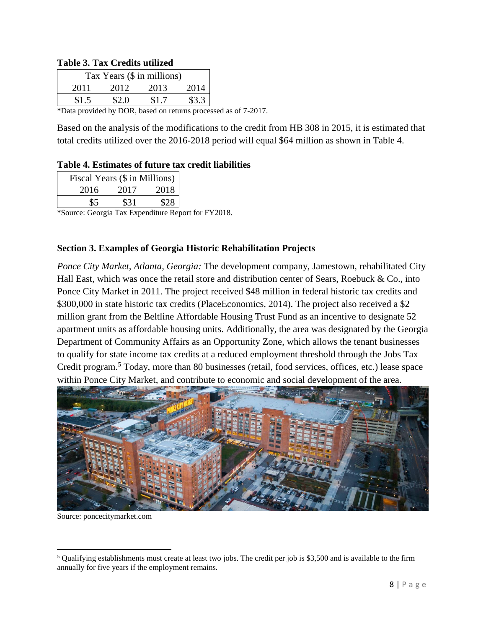#### **Table 3. Tax Credits utilized**

| Tax Years (\$ in millions) |       |       |       |       |
|----------------------------|-------|-------|-------|-------|
|                            | 2011  | 2012  | 2013  | 2014  |
|                            | \$1.5 | \$2.0 | \$1.7 | \$3.3 |

\*Data provided by DOR, based on returns processed as of 7-2017.

Based on the analysis of the modifications to the credit from HB 308 in 2015, it is estimated that total credits utilized over the 2016-2018 period will equal \$64 million as shown in Table 4.

#### **Table 4. Estimates of future tax credit liabilities**

| Fiscal Years (\$ in Millions) |      |      |  |
|-------------------------------|------|------|--|
| 2016                          | 2017 | 2018 |  |
| \$5                           | \$31 | \$28 |  |

\*Source: Georgia Tax Expenditure Report for FY2018.

#### **Section 3. Examples of Georgia Historic Rehabilitation Projects**

*Ponce City Market, Atlanta, Georgia:* The development company, Jamestown, rehabilitated City Hall East, which was once the retail store and distribution center of Sears, Roebuck & Co., into Ponce City Market in 2011. The project received \$48 million in federal historic tax credits and \$300,000 in state historic tax credits (PlaceEconomics, 2014). The project also received a \$2 million grant from the Beltline Affordable Housing Trust Fund as an incentive to designate 52 apartment units as affordable housing units. Additionally, the area was designated by the Georgia Department of Community Affairs as an Opportunity Zone, which allows the tenant businesses to qualify for state income tax credits at a reduced employment threshold through the Jobs Tax Credit program. <sup>5</sup> Today, more than 80 businesses (retail, food services, offices, etc.) lease space within Ponce City Market, and contribute to economic and social development of the area.



Source: poncecitymarket.com

 $\overline{a}$ 

 $<sup>5</sup>$  Qualifying establishments must create at least two jobs. The credit per job is \$3,500 and is available to the firm</sup> annually for five years if the employment remains.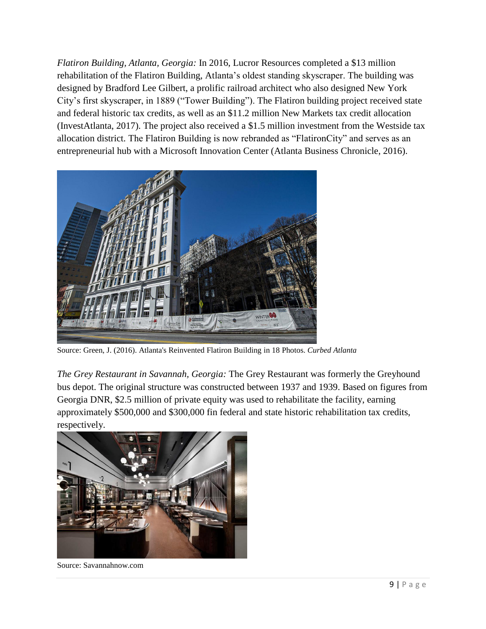*Flatiron Building, Atlanta, Georgia:* In 2016, Lucror Resources completed a \$13 million rehabilitation of the Flatiron Building, Atlanta's oldest standing skyscraper. The building was designed by Bradford Lee Gilbert, a prolific railroad architect who also designed New York City's first skyscraper, in 1889 ("Tower Building"). The Flatiron building project received state and federal historic tax credits, as well as an \$11.2 million New Markets tax credit allocation (InvestAtlanta, 2017). The project also received a \$1.5 million investment from the Westside tax allocation district. The Flatiron Building is now rebranded as "FlatironCity" and serves as an entrepreneurial hub with a Microsoft Innovation Center (Atlanta Business Chronicle, 2016).



Source: Green, J. (2016). Atlanta's Reinvented Flatiron Building in 18 Photos. *Curbed Atlanta*

*The Grey Restaurant in Savannah, Georgia:* The Grey Restaurant was formerly the Greyhound bus depot. The original structure was constructed between 1937 and 1939. Based on figures from Georgia DNR, \$2.5 million of private equity was used to rehabilitate the facility, earning approximately \$500,000 and \$300,000 fin federal and state historic rehabilitation tax credits, respectively.



Source: Savannahnow.com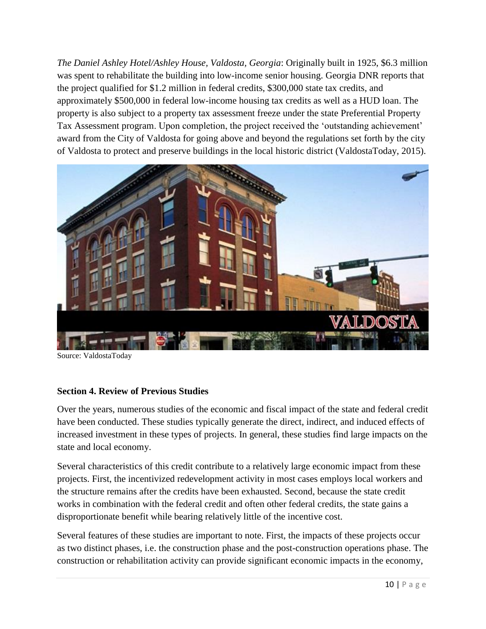*The Daniel Ashley Hotel/Ashley House, Valdosta, Georgia*: Originally built in 1925, \$6.3 million was spent to rehabilitate the building into low-income senior housing. Georgia DNR reports that the project qualified for \$1.2 million in federal credits, \$300,000 state tax credits, and approximately \$500,000 in federal low-income housing tax credits as well as a HUD loan. The property is also subject to a property tax assessment freeze under the state Preferential Property Tax Assessment program. Upon completion, the project received the 'outstanding achievement' award from the City of Valdosta for going above and beyond the regulations set forth by the city of Valdosta to protect and preserve buildings in the local historic district (ValdostaToday, 2015).



Source: ValdostaToday

#### **Section 4. Review of Previous Studies**

Over the years, numerous studies of the economic and fiscal impact of the state and federal credit have been conducted. These studies typically generate the direct, indirect, and induced effects of increased investment in these types of projects. In general, these studies find large impacts on the state and local economy.

Several characteristics of this credit contribute to a relatively large economic impact from these projects. First, the incentivized redevelopment activity in most cases employs local workers and the structure remains after the credits have been exhausted. Second, because the state credit works in combination with the federal credit and often other federal credits, the state gains a disproportionate benefit while bearing relatively little of the incentive cost.

Several features of these studies are important to note. First, the impacts of these projects occur as two distinct phases, i.e. the construction phase and the post-construction operations phase. The construction or rehabilitation activity can provide significant economic impacts in the economy,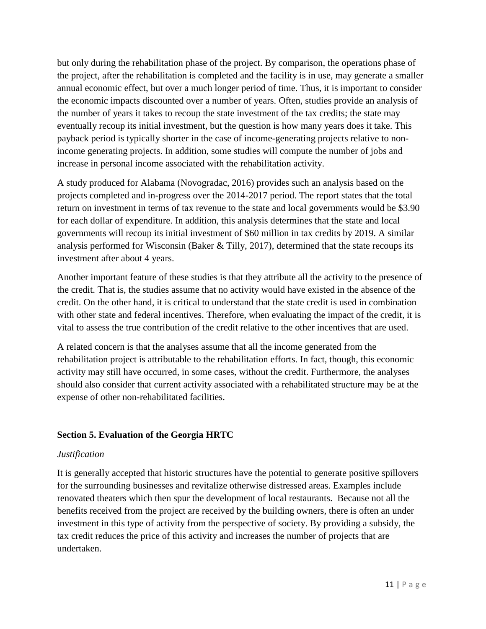but only during the rehabilitation phase of the project. By comparison, the operations phase of the project, after the rehabilitation is completed and the facility is in use, may generate a smaller annual economic effect, but over a much longer period of time. Thus, it is important to consider the economic impacts discounted over a number of years. Often, studies provide an analysis of the number of years it takes to recoup the state investment of the tax credits; the state may eventually recoup its initial investment, but the question is how many years does it take. This payback period is typically shorter in the case of income-generating projects relative to nonincome generating projects. In addition, some studies will compute the number of jobs and increase in personal income associated with the rehabilitation activity.

A study produced for Alabama (Novogradac, 2016) provides such an analysis based on the projects completed and in-progress over the 2014-2017 period. The report states that the total return on investment in terms of tax revenue to the state and local governments would be \$3.90 for each dollar of expenditure. In addition, this analysis determines that the state and local governments will recoup its initial investment of \$60 million in tax credits by 2019. A similar analysis performed for Wisconsin (Baker & Tilly, 2017), determined that the state recoups its investment after about 4 years.

Another important feature of these studies is that they attribute all the activity to the presence of the credit. That is, the studies assume that no activity would have existed in the absence of the credit. On the other hand, it is critical to understand that the state credit is used in combination with other state and federal incentives. Therefore, when evaluating the impact of the credit, it is vital to assess the true contribution of the credit relative to the other incentives that are used.

A related concern is that the analyses assume that all the income generated from the rehabilitation project is attributable to the rehabilitation efforts. In fact, though, this economic activity may still have occurred, in some cases, without the credit. Furthermore, the analyses should also consider that current activity associated with a rehabilitated structure may be at the expense of other non-rehabilitated facilities.

# **Section 5. Evaluation of the Georgia HRTC**

# *Justification*

It is generally accepted that historic structures have the potential to generate positive spillovers for the surrounding businesses and revitalize otherwise distressed areas. Examples include renovated theaters which then spur the development of local restaurants. Because not all the benefits received from the project are received by the building owners, there is often an under investment in this type of activity from the perspective of society. By providing a subsidy, the tax credit reduces the price of this activity and increases the number of projects that are undertaken.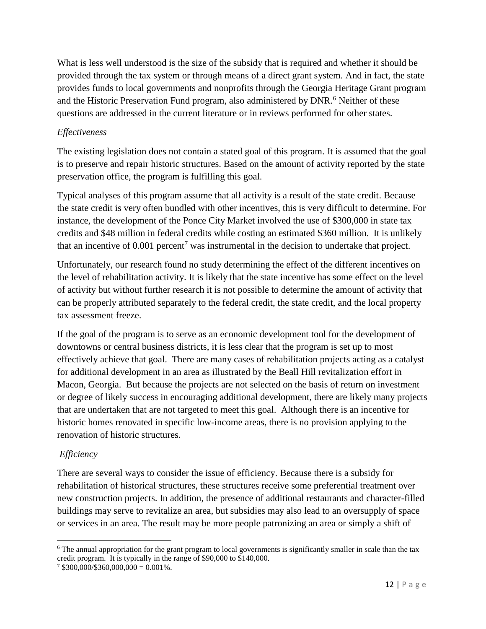What is less well understood is the size of the subsidy that is required and whether it should be provided through the tax system or through means of a direct grant system. And in fact, the state provides funds to local governments and nonprofits through the Georgia Heritage Grant program and the Historic Preservation Fund program, also administered by DNR.<sup>6</sup> Neither of these questions are addressed in the current literature or in reviews performed for other states.

# *Effectiveness*

The existing legislation does not contain a stated goal of this program. It is assumed that the goal is to preserve and repair historic structures. Based on the amount of activity reported by the state preservation office, the program is fulfilling this goal.

Typical analyses of this program assume that all activity is a result of the state credit. Because the state credit is very often bundled with other incentives, this is very difficult to determine. For instance, the development of the Ponce City Market involved the use of \$300,000 in state tax credits and \$48 million in federal credits while costing an estimated \$360 million. It is unlikely that an incentive of  $0.001$  percent<sup>7</sup> was instrumental in the decision to undertake that project.

Unfortunately, our research found no study determining the effect of the different incentives on the level of rehabilitation activity. It is likely that the state incentive has some effect on the level of activity but without further research it is not possible to determine the amount of activity that can be properly attributed separately to the federal credit, the state credit, and the local property tax assessment freeze.

If the goal of the program is to serve as an economic development tool for the development of downtowns or central business districts, it is less clear that the program is set up to most effectively achieve that goal. There are many cases of rehabilitation projects acting as a catalyst for additional development in an area as illustrated by the Beall Hill revitalization effort in Macon, Georgia. But because the projects are not selected on the basis of return on investment or degree of likely success in encouraging additional development, there are likely many projects that are undertaken that are not targeted to meet this goal. Although there is an incentive for historic homes renovated in specific low-income areas, there is no provision applying to the renovation of historic structures.

# *Efficiency*

 $\overline{\phantom{a}}$ 

There are several ways to consider the issue of efficiency. Because there is a subsidy for rehabilitation of historical structures, these structures receive some preferential treatment over new construction projects. In addition, the presence of additional restaurants and character-filled buildings may serve to revitalize an area, but subsidies may also lead to an oversupply of space or services in an area. The result may be more people patronizing an area or simply a shift of

<sup>&</sup>lt;sup>6</sup> The annual appropriation for the grant program to local governments is significantly smaller in scale than the tax credit program. It is typically in the range of \$90,000 to \$140,000.

 $7$  \$300,000/\$360,000,000 = 0.001%.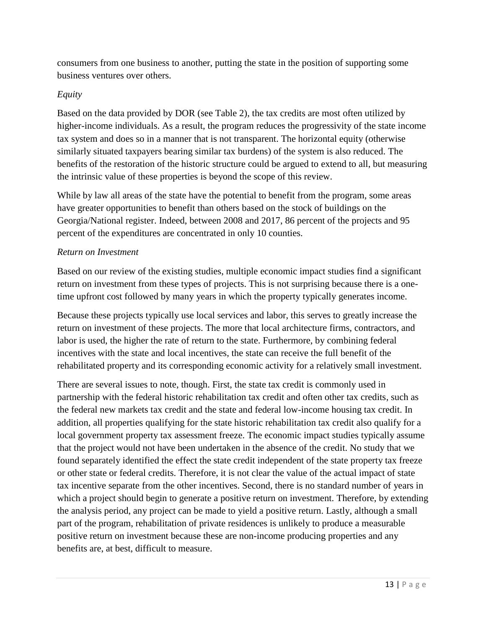consumers from one business to another, putting the state in the position of supporting some business ventures over others.

# *Equity*

Based on the data provided by DOR (see Table 2), the tax credits are most often utilized by higher-income individuals. As a result, the program reduces the progressivity of the state income tax system and does so in a manner that is not transparent. The horizontal equity (otherwise similarly situated taxpayers bearing similar tax burdens) of the system is also reduced. The benefits of the restoration of the historic structure could be argued to extend to all, but measuring the intrinsic value of these properties is beyond the scope of this review.

While by law all areas of the state have the potential to benefit from the program, some areas have greater opportunities to benefit than others based on the stock of buildings on the Georgia/National register. Indeed, between 2008 and 2017, 86 percent of the projects and 95 percent of the expenditures are concentrated in only 10 counties.

## *Return on Investment*

Based on our review of the existing studies, multiple economic impact studies find a significant return on investment from these types of projects. This is not surprising because there is a onetime upfront cost followed by many years in which the property typically generates income.

Because these projects typically use local services and labor, this serves to greatly increase the return on investment of these projects. The more that local architecture firms, contractors, and labor is used, the higher the rate of return to the state. Furthermore, by combining federal incentives with the state and local incentives, the state can receive the full benefit of the rehabilitated property and its corresponding economic activity for a relatively small investment.

There are several issues to note, though. First, the state tax credit is commonly used in partnership with the federal historic rehabilitation tax credit and often other tax credits, such as the federal new markets tax credit and the state and federal low-income housing tax credit. In addition, all properties qualifying for the state historic rehabilitation tax credit also qualify for a local government property tax assessment freeze. The economic impact studies typically assume that the project would not have been undertaken in the absence of the credit. No study that we found separately identified the effect the state credit independent of the state property tax freeze or other state or federal credits. Therefore, it is not clear the value of the actual impact of state tax incentive separate from the other incentives. Second, there is no standard number of years in which a project should begin to generate a positive return on investment. Therefore, by extending the analysis period, any project can be made to yield a positive return. Lastly, although a small part of the program, rehabilitation of private residences is unlikely to produce a measurable positive return on investment because these are non-income producing properties and any benefits are, at best, difficult to measure.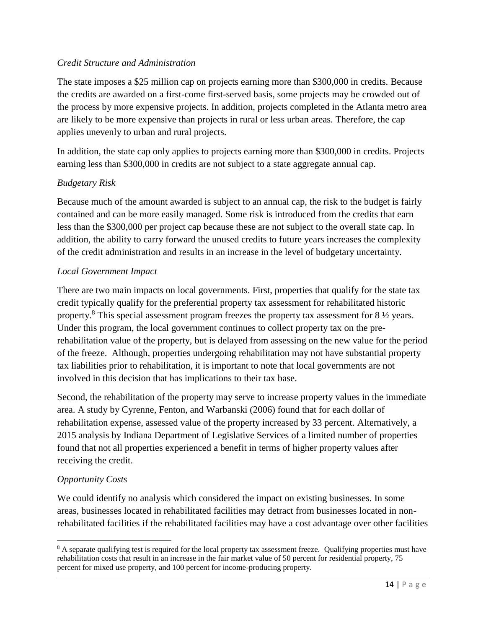## *Credit Structure and Administration*

The state imposes a \$25 million cap on projects earning more than \$300,000 in credits. Because the credits are awarded on a first-come first-served basis, some projects may be crowded out of the process by more expensive projects. In addition, projects completed in the Atlanta metro area are likely to be more expensive than projects in rural or less urban areas. Therefore, the cap applies unevenly to urban and rural projects.

In addition, the state cap only applies to projects earning more than \$300,000 in credits. Projects earning less than \$300,000 in credits are not subject to a state aggregate annual cap.

# *Budgetary Risk*

Because much of the amount awarded is subject to an annual cap, the risk to the budget is fairly contained and can be more easily managed. Some risk is introduced from the credits that earn less than the \$300,000 per project cap because these are not subject to the overall state cap. In addition, the ability to carry forward the unused credits to future years increases the complexity of the credit administration and results in an increase in the level of budgetary uncertainty.

# *Local Government Impact*

There are two main impacts on local governments. First, properties that qualify for the state tax credit typically qualify for the preferential property tax assessment for rehabilitated historic property.<sup>8</sup> This special assessment program freezes the property tax assessment for  $8\frac{1}{2}$  years. Under this program, the local government continues to collect property tax on the prerehabilitation value of the property, but is delayed from assessing on the new value for the period of the freeze. Although, properties undergoing rehabilitation may not have substantial property tax liabilities prior to rehabilitation, it is important to note that local governments are not involved in this decision that has implications to their tax base.

Second, the rehabilitation of the property may serve to increase property values in the immediate area. A study by Cyrenne, Fenton, and Warbanski (2006) found that for each dollar of rehabilitation expense, assessed value of the property increased by 33 percent. Alternatively, a 2015 analysis by Indiana Department of Legislative Services of a limited number of properties found that not all properties experienced a benefit in terms of higher property values after receiving the credit.

# *Opportunity Costs*

 $\overline{\phantom{a}}$ 

We could identify no analysis which considered the impact on existing businesses. In some areas, businesses located in rehabilitated facilities may detract from businesses located in nonrehabilitated facilities if the rehabilitated facilities may have a cost advantage over other facilities

<sup>&</sup>lt;sup>8</sup> A separate qualifying test is required for the local property tax assessment freeze. Qualifying properties must have rehabilitation costs that result in an increase in the fair market value of 50 percent for residential property, 75 percent for mixed use property, and 100 percent for income-producing property.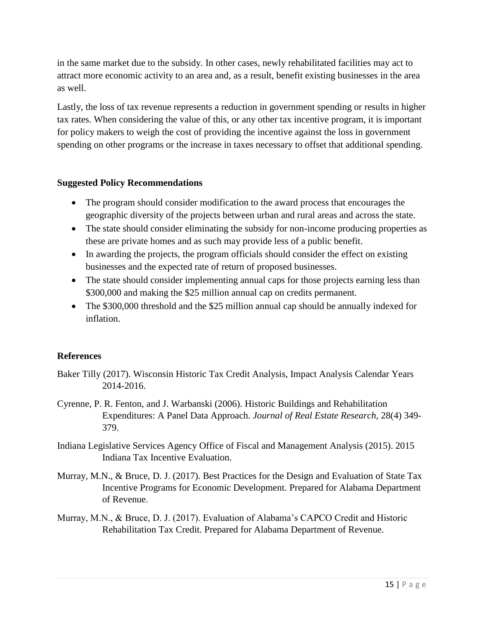in the same market due to the subsidy. In other cases, newly rehabilitated facilities may act to attract more economic activity to an area and, as a result, benefit existing businesses in the area as well.

Lastly, the loss of tax revenue represents a reduction in government spending or results in higher tax rates. When considering the value of this, or any other tax incentive program, it is important for policy makers to weigh the cost of providing the incentive against the loss in government spending on other programs or the increase in taxes necessary to offset that additional spending.

## **Suggested Policy Recommendations**

- The program should consider modification to the award process that encourages the geographic diversity of the projects between urban and rural areas and across the state.
- The state should consider eliminating the subsidy for non-income producing properties as these are private homes and as such may provide less of a public benefit.
- In awarding the projects, the program officials should consider the effect on existing businesses and the expected rate of return of proposed businesses.
- The state should consider implementing annual caps for those projects earning less than \$300,000 and making the \$25 million annual cap on credits permanent.
- The \$300,000 threshold and the \$25 million annual cap should be annually indexed for inflation.

## **References**

- Baker Tilly (2017). Wisconsin Historic Tax Credit Analysis, Impact Analysis Calendar Years 2014-2016.
- Cyrenne, P. R. Fenton, and J. Warbanski (2006). Historic Buildings and Rehabilitation Expenditures: A Panel Data Approach. *Journal of Real Estate Research*, 28(4) 349- 379.
- Indiana Legislative Services Agency Office of Fiscal and Management Analysis (2015). 2015 Indiana Tax Incentive Evaluation.
- Murray, M.N., & Bruce, D. J. (2017). Best Practices for the Design and Evaluation of State Tax Incentive Programs for Economic Development. Prepared for Alabama Department of Revenue.
- Murray, M.N., & Bruce, D. J. (2017). Evaluation of Alabama's CAPCO Credit and Historic Rehabilitation Tax Credit. Prepared for Alabama Department of Revenue.